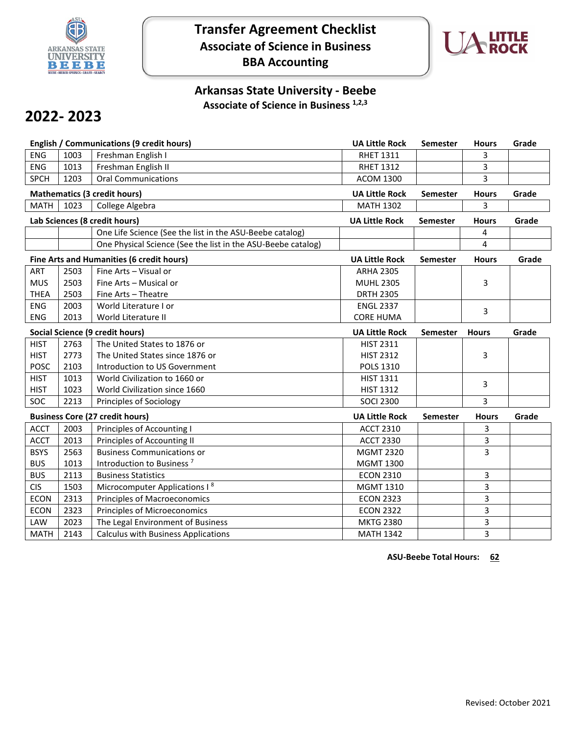

## **Transfer Agreement Checklist Associate of Science in Business BBA Accounting**



## **Arkansas State University - Beebe Associate of Science in Business 1,2,3**

## **2022- 2023**

|                                        |                                     | English / Communications (9 credit hours)                    | <b>UA Little Rock</b> | <b>Semester</b> | <b>Hours</b> | Grade |
|----------------------------------------|-------------------------------------|--------------------------------------------------------------|-----------------------|-----------------|--------------|-------|
| <b>ENG</b>                             | 1003                                | Freshman English I                                           | <b>RHET 1311</b>      |                 | 3            |       |
| <b>ENG</b>                             | 1013                                | Freshman English II                                          | <b>RHET 1312</b>      |                 | 3            |       |
| <b>SPCH</b>                            | 1203                                | <b>Oral Communications</b>                                   | <b>ACOM 1300</b>      |                 | 3            |       |
|                                        | <b>Mathematics (3 credit hours)</b> |                                                              |                       | Semester        | <b>Hours</b> | Grade |
| <b>MATH</b>                            | 1023                                | College Algebra                                              | <b>MATH 1302</b>      |                 | 3            |       |
|                                        |                                     | Lab Sciences (8 credit hours)                                | <b>UA Little Rock</b> | Semester        | <b>Hours</b> | Grade |
|                                        |                                     | One Life Science (See the list in the ASU-Beebe catalog)     |                       |                 | 4            |       |
|                                        |                                     | One Physical Science (See the list in the ASU-Beebe catalog) |                       |                 | 4            |       |
|                                        |                                     | Fine Arts and Humanities (6 credit hours)                    | <b>UA Little Rock</b> | <b>Semester</b> | <b>Hours</b> | Grade |
| <b>ART</b>                             | 2503                                | Fine Arts - Visual or                                        | <b>ARHA 2305</b>      |                 |              |       |
| <b>MUS</b>                             | 2503                                | Fine Arts - Musical or                                       | <b>MUHL 2305</b>      |                 | 3            |       |
| <b>THEA</b>                            | 2503                                | Fine Arts - Theatre                                          | <b>DRTH 2305</b>      |                 |              |       |
| <b>ENG</b>                             | 2003                                | World Literature I or                                        | <b>ENGL 2337</b>      |                 | 3            |       |
| <b>ENG</b>                             | 2013                                | World Literature II                                          | <b>CORE HUMA</b>      |                 |              |       |
| <b>Social Science (9 credit hours)</b> |                                     |                                                              | <b>UA Little Rock</b> | <b>Semester</b> | <b>Hours</b> | Grade |
| <b>HIST</b>                            | 2763                                | The United States to 1876 or                                 | <b>HIST 2311</b>      |                 |              |       |
| <b>HIST</b>                            | 2773                                | The United States since 1876 or                              | <b>HIST 2312</b>      |                 | 3            |       |
| <b>POSC</b>                            | 2103                                | Introduction to US Government                                | <b>POLS 1310</b>      |                 |              |       |
| <b>HIST</b>                            | 1013                                | World Civilization to 1660 or                                | <b>HIST 1311</b>      |                 | 3            |       |
| <b>HIST</b>                            | 1023                                | World Civilization since 1660                                | <b>HIST 1312</b>      |                 |              |       |
| SOC                                    | 2213                                | Principles of Sociology                                      | <b>SOCI 2300</b>      |                 | 3            |       |
| <b>Business Core (27 credit hours)</b> |                                     |                                                              | <b>UA Little Rock</b> | Semester        | <b>Hours</b> | Grade |
| <b>ACCT</b>                            | 2003                                | Principles of Accounting I                                   | <b>ACCT 2310</b>      |                 | 3            |       |
| <b>ACCT</b>                            | 2013                                | Principles of Accounting II                                  | <b>ACCT 2330</b>      |                 | 3            |       |
| <b>BSYS</b>                            | 2563                                | <b>Business Communications or</b>                            | <b>MGMT 2320</b>      |                 | 3            |       |
| <b>BUS</b>                             | 1013                                | Introduction to Business <sup>7</sup>                        | <b>MGMT 1300</b>      |                 |              |       |
| <b>BUS</b>                             | 2113                                | <b>Business Statistics</b>                                   | <b>ECON 2310</b>      |                 | 3            |       |
| <b>CIS</b>                             | 1503                                | Microcomputer Applications I <sup>8</sup>                    | <b>MGMT 1310</b>      |                 | 3            |       |
| <b>ECON</b>                            | 2313                                | <b>Principles of Macroeconomics</b>                          | <b>ECON 2323</b>      |                 | 3            |       |
| <b>ECON</b>                            | 2323                                | <b>Principles of Microeconomics</b>                          | <b>ECON 2322</b>      |                 | 3            |       |
| LAW                                    | 2023                                | The Legal Environment of Business                            | <b>MKTG 2380</b>      |                 | 3            |       |
| <b>MATH</b>                            |                                     | <b>Calculus with Business Applications</b>                   | <b>MATH 1342</b>      |                 | 3            |       |

**ASU-Beebe Total Hours: 62**